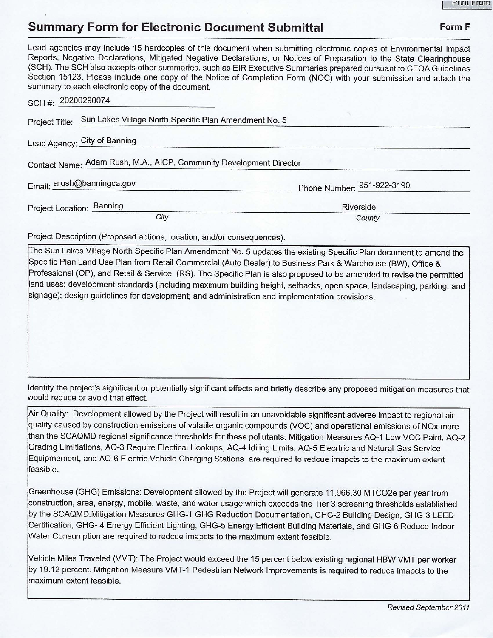## **Summary Form for Electronic Document Submittal Form F Form F**

## Lead agencies may include 15 hardcopies of this document when submitting electronic copies of Environmental Impact Reports, Negative Declarations, Mitigated Negative Declarations, or Notices of Preparation to the State Clearinghouse (SCH). The SCH also accepts other summaries, such as EIR Executive Summaries prepared pursuant to CEQA Guidelines Section 15123. Please include one copy of the Notice of Completion Form (NOC) with your submission and attach the summary to each electronic copy of the document. SCH#: 20200290074 Project Title: Sun Lakes Village North Specific Plan Amendment No. 5 Lead Agency: City of Banning Contact Name: Adam Rush, M.A., AICP, Community Development Director Email:  $\frac{\text{arush@banningca.gov}}{\text{Phone Number:}}$  951-922-3190 951-922-3190

Project Description (Proposed actions, location, and/or consequences).

Project Location: \_B\_a\_n\_n\_in..;cg \_ \_\_\_\_\_\_ \_\_\_\_\_\_\_\_\_\_\_\_\_\_\_ \_ R\_iv\_e\_rs\_id\_e \_ \_ \_\_\_\_\_\_ \_ \_

The Sun Lakes Village North Specific Plan Amendment No. 5 updates the existing Specific Plan document to amend the Specific Plan Land Use Plan from Retail Commercial (Auto Dealer) to Business Park & Warehouse (BW), Office & Professional (OP), and Retail & Service (RS). The Specific Plan is also proposed to be amended to revise the permitted land uses; development standards (including maximum building height, setbacks, open space, landscaping, parking, and signage); design guidelines for development; and administration and implementation provisions.

City County

Identify the project's significant or potentially significant effects and briefly describe any proposed mitigation measures that would reduce or avoid that effect.

Air Quality: Development allowed by the Project will result in an unavoidable significant adverse impact to regional air quality caused by construction emissions of volatile organic compounds (VOC) and operational emissions of NOx more han the SCAQMD regional significance thresholds for these pollutants. Mitigation Measures AQ-1 Low VOC Paint, AQ-2 Grading Limitiations, AQ-3 Require Electical Hookups, AQ-4 ldiling Limits, AQ-5 Elecrtric and Natural Gas Service Equipmement, and AQ-6 Electric Vehicle Charging Stations are required to redcue imapcts to the maximum extent feasible.

Greenhouse (GHG) Emissions: Development allowed by the Project will generate 11 ,966.30 MTCO2e per year from construction, area, energy, mobile, waste, and water usage which exceeds the Tier 3 screening thresholds established by the SCAQMD.Mitigation Measures GHG-1 GHG Reduction Documentation, GHG-2 Building Design, GHG-3 LEED Certification, GHG- 4 Energy Efficient Lighting, GHG-5 Energy Efficient Building Materials, and GHG-6 Reduce Indoor Water Consumption are required to redcue imapcts to the maximum extent feasible.

Vehicle Miles Traveled (VMT): The Project would exceed the 15 percent below existing regional HBW VMT per worker by 19.12 percent. Mitigation Measure VMT-1 Pedestrian Network Improvements is required to reduce imapcts to the maximum extent feasible.